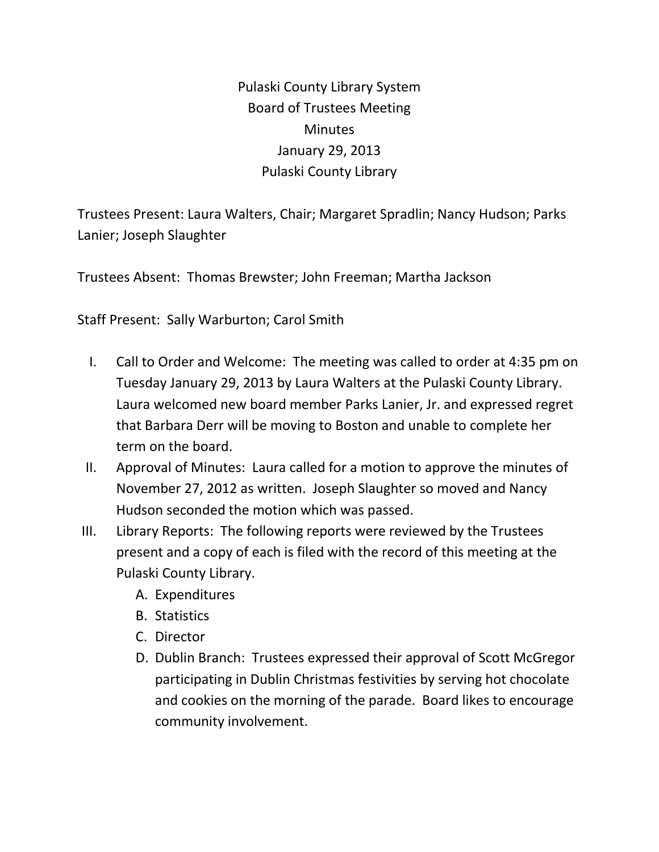Pulaski County Library System Board of Trustees Meeting **Minutes** January 29, 2013 Pulaski County Library

Trustees Present: Laura Walters, Chair; Margaret Spradlin; Nancy Hudson; Parks Lanier; Joseph Slaughter

Trustees Absent: Thomas Brewster; John Freeman; Martha Jackson

Staff Present: Sally Warburton; Carol Smith

- I. Call to Order and Welcome: The meeting was called to order at 4:35 pm on Tuesday January 29, 2013 by Laura Walters at the Pulaski County Library. Laura welcomed new board member Parks Lanier, Jr. and expressed regret that Barbara Derr will be moving to Boston and unable to complete her term on the board.
- II. Approval of Minutes: Laura called for a motion to approve the minutes of November 27, 2012 as written. Joseph Slaughter so moved and Nancy Hudson seconded the motion which was passed.
- III. Library Reports: The following reports were reviewed by the Trustees present and a copy of each is filed with the record of this meeting at the Pulaski County Library.
	- A. Expenditures
	- B. Statistics
	- C. Director
	- D. Dublin Branch: Trustees expressed their approval of Scott McGregor participating in Dublin Christmas festivities by serving hot chocolate and cookies on the morning of the parade. Board likes to encourage community involvement.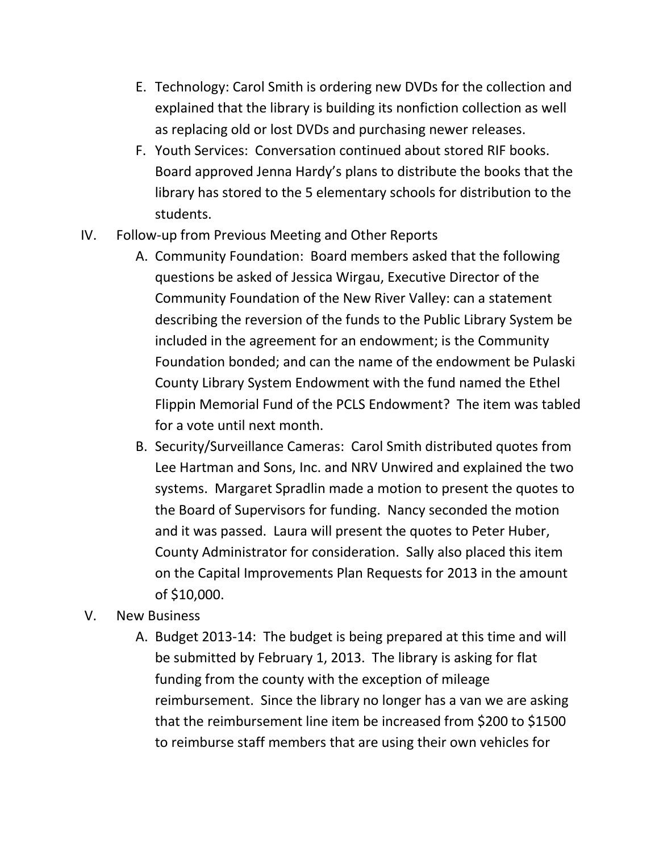- E. Technology: Carol Smith is ordering new DVDs for the collection and explained that the library is building its nonfiction collection as well as replacing old or lost DVDs and purchasing newer releases.
- F. Youth Services: Conversation continued about stored RIF books. Board approved Jenna Hardy's plans to distribute the books that the library has stored to the 5 elementary schools for distribution to the students.
- IV. Follow-up from Previous Meeting and Other Reports
	- A. Community Foundation: Board members asked that the following questions be asked of Jessica Wirgau, Executive Director of the Community Foundation of the New River Valley: can a statement describing the reversion of the funds to the Public Library System be included in the agreement for an endowment; is the Community Foundation bonded; and can the name of the endowment be Pulaski County Library System Endowment with the fund named the Ethel Flippin Memorial Fund of the PCLS Endowment? The item was tabled for a vote until next month.
	- B. Security/Surveillance Cameras: Carol Smith distributed quotes from Lee Hartman and Sons, Inc. and NRV Unwired and explained the two systems. Margaret Spradlin made a motion to present the quotes to the Board of Supervisors for funding. Nancy seconded the motion and it was passed. Laura will present the quotes to Peter Huber, County Administrator for consideration. Sally also placed this item on the Capital Improvements Plan Requests for 2013 in the amount of \$10,000.
- V. New Business
	- A. Budget 2013-14: The budget is being prepared at this time and will be submitted by February 1, 2013. The library is asking for flat funding from the county with the exception of mileage reimbursement. Since the library no longer has a van we are asking that the reimbursement line item be increased from \$200 to \$1500 to reimburse staff members that are using their own vehicles for